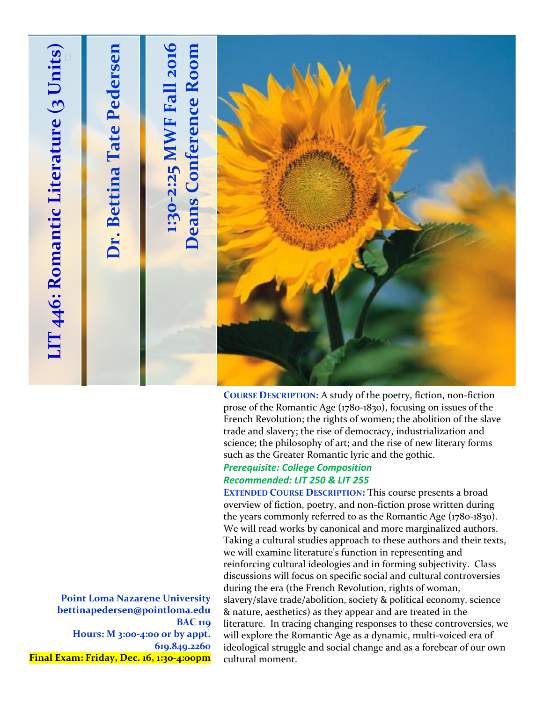

prose of the Romantic Age (1780-1830), focusing on issues of the French Revolution; the rights of women; the abolition of the slave trade and slavery; the rise of democracy, industrialization and science; the philosophy of art; and the rise of new literary forms such as the Greater Romantic lyric and the gothic.

### *Prerequisite: College Composition Recommended: LIT 250 & LIT 255*

**EXTENDED COURSE DESCRIPTION:** This course presents a broad overview of fiction, poetry, and non-fiction prose written during the years commonly referred to as the Romantic Age (1780-1830). We will read works by canonical and more marginalized authors. Taking a cultural studies approach to these authors and their texts, we will examine literature's function in representing and reinforcing cultural ideologies and in forming subjectivity. Class discussions will focus on specific social and cultural controversies during the era (the French Revolution, rights of woman, slavery/slave trade/abolition, society & political economy, science & nature, aesthetics) as they appear and are treated in the literature. In tracing changing responses to these controversies, we will explore the Romantic Age as a dynamic, multi-voiced era of ideological struggle and social change and as a forebear of our own cultural moment.

**Point Loma Nazarene University bettinapedersen@pointloma.edu BAC 119 Hours: M 3:00-4:00 or by appt. 619.849.2260 Final Exam: Friday, Dec. 16, 1:30-4:00pm**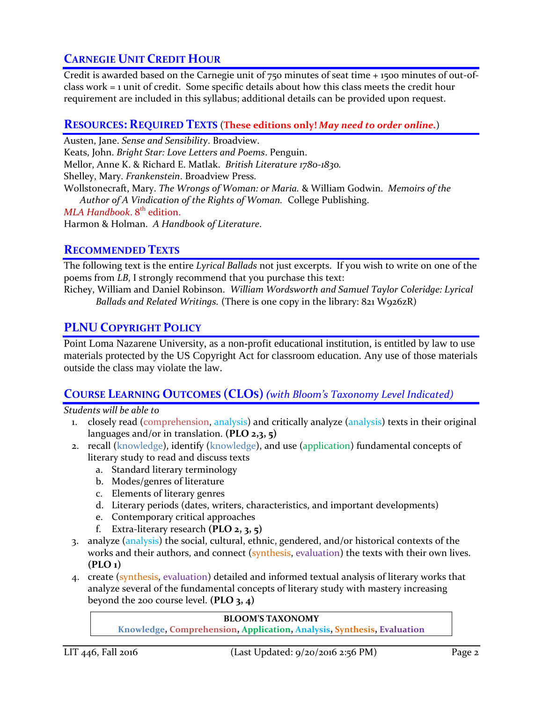# **CARNEGIE UNIT CREDIT HOUR**

Credit is awarded based on the Carnegie unit of 750 minutes of seat time + 1500 minutes of out-ofclass work = 1 unit of credit. Some specific details about how this class meets the credit hour requirement are included in this syllabus; additional details can be provided upon request.

## **RESOURCES: REQUIRED TEXTS** (**These editions only!** *May need to order online.*)

Austen, Jane. *Sense and Sensibility*. Broadview. Keats, John. *Bright Star: Love Letters and Poems*. Penguin. Mellor, Anne K. & Richard E. Matlak. *British Literature 1780-1830.* Shelley, Mary. *Frankenstein*. Broadview Press. Wollstonecraft, Mary. *The Wrongs of Woman: or Maria.* & William Godwin. *Memoirs of the Author of A Vindication of the Rights of Woman.* College Publishing. MLA Handbook. 8<sup>th</sup> edition. Harmon & Holman. *A Handbook of Literature*.

## **RECOMMENDED TEXTS**

The following text is the entire *Lyrical Ballads* not just excerpts. If you wish to write on one of the poems from *LB*, I strongly recommend that you purchase this text:

Richey, William and Daniel Robinson. *William Wordsworth and Samuel Taylor Coleridge: Lyrical Ballads and Related Writings.* (There is one copy in the library: 821 W926zR)

## **PLNU COPYRIGHT POLICY**

Point Loma Nazarene University, as a non-profit educational institution, is entitled by law to use materials protected by the US Copyright Act for classroom education. Any use of those materials outside the class may violate the law.

## **COURSE LEARNING OUTCOMES (CLOS)***(with Bloom's Taxonomy Level Indicated)*

*Students will be able to*

- 1. closely read (comprehension, analysis) and critically analyze (analysis) texts in their original languages and/or in translation. **(PLO 2,3, 5)**
- 2. recall (knowledge), identify (knowledge), and use (application) fundamental concepts of literary study to read and discuss texts
	- a. Standard literary terminology
	- b. Modes/genres of literature
	- c. Elements of literary genres
	- d. Literary periods (dates, writers, characteristics, and important developments)
	- e. Contemporary critical approaches
	- f. Extra-literary research **(PLO 2, 3, 5)**
- 3. analyze (analysis) the social, cultural, ethnic, gendered, and/or historical contexts of the works and their authors, and connect (synthesis, evaluation) the texts with their own lives. **(PLO 1)**
- 4. create (synthesis, evaluation) detailed and informed textual analysis of literary works that analyze several of the fundamental concepts of literary study with mastery increasing beyond the 200 course level. **(PLO 3, 4)**

#### **BLOOM'S TAXONOMY**

**Knowledge, Comprehension, Application, Analysis, Synthesis, Evaluation**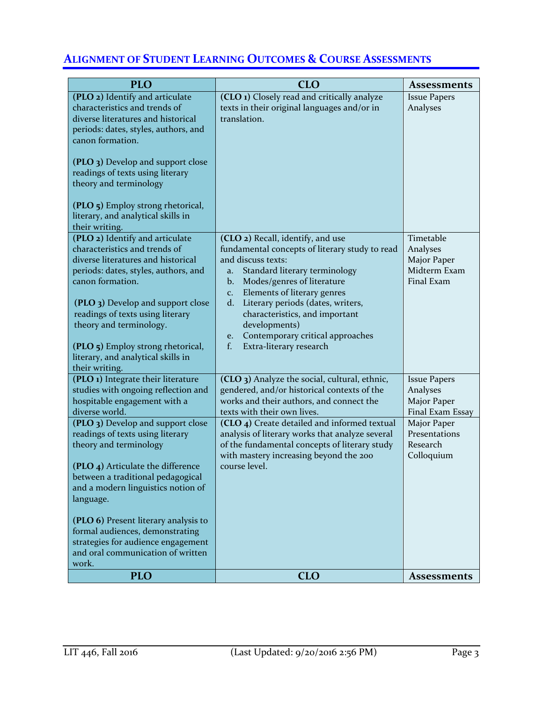# **ALIGNMENT OF STUDENT LEARNING OUTCOMES & COURSE ASSESSMENTS**

| <b>PLO</b>                                                                                                                                                                                                                                                                                                                                                                         | <b>CLO</b>                                                                                                                                                                                                                                                                                                                                                                                                                          | <b>Assessments</b>                                                 |
|------------------------------------------------------------------------------------------------------------------------------------------------------------------------------------------------------------------------------------------------------------------------------------------------------------------------------------------------------------------------------------|-------------------------------------------------------------------------------------------------------------------------------------------------------------------------------------------------------------------------------------------------------------------------------------------------------------------------------------------------------------------------------------------------------------------------------------|--------------------------------------------------------------------|
| (PLO 2) Identify and articulate<br>characteristics and trends of<br>diverse literatures and historical<br>periods: dates, styles, authors, and<br>canon formation.<br>(PLO 3) Develop and support close<br>readings of texts using literary<br>theory and terminology<br>(PLO 5) Employ strong rhetorical,<br>literary, and analytical skills in<br>their writing.                 | (CLO 1) Closely read and critically analyze<br>texts in their original languages and/or in<br>translation.                                                                                                                                                                                                                                                                                                                          | <b>Issue Papers</b><br>Analyses                                    |
| (PLO 2) Identify and articulate<br>characteristics and trends of<br>diverse literatures and historical<br>periods: dates, styles, authors, and<br>canon formation.<br>(PLO 3) Develop and support close<br>readings of texts using literary<br>theory and terminology.<br>(PLO 5) Employ strong rhetorical,<br>literary, and analytical skills in<br>their writing.                | (CLO 2) Recall, identify, and use<br>fundamental concepts of literary study to read<br>and discuss texts:<br>Standard literary terminology<br>a.<br>Modes/genres of literature<br>$\mathbf{b}$ .<br>Elements of literary genres<br>C <sub>1</sub><br>Literary periods (dates, writers,<br>$d_{\cdot}$<br>characteristics, and important<br>developments)<br>Contemporary critical approaches<br>e.<br>f.<br>Extra-literary research | Timetable<br>Analyses<br>Major Paper<br>Midterm Exam<br>Final Exam |
| (PLO 1) Integrate their literature<br>studies with ongoing reflection and<br>hospitable engagement with a<br>diverse world.                                                                                                                                                                                                                                                        | (CLO 3) Analyze the social, cultural, ethnic,<br>gendered, and/or historical contexts of the<br>works and their authors, and connect the<br>texts with their own lives.                                                                                                                                                                                                                                                             | <b>Issue Papers</b><br>Analyses<br>Major Paper<br>Final Exam Essay |
| (PLO 3) Develop and support close<br>readings of texts using literary<br>theory and terminology<br>(PLO 4) Articulate the difference<br>between a traditional pedagogical<br>and a modern linguistics notion of<br>language.<br>(PLO 6) Present literary analysis to<br>formal audiences, demonstrating<br>strategies for audience engagement<br>and oral communication of written | (CLO 4) Create detailed and informed textual<br>analysis of literary works that analyze several<br>of the fundamental concepts of literary study<br>with mastery increasing beyond the 200<br>course level.                                                                                                                                                                                                                         | Major Paper<br>Presentations<br>Research<br>Colloquium             |
| work.<br><b>PLO</b>                                                                                                                                                                                                                                                                                                                                                                | <b>CLO</b>                                                                                                                                                                                                                                                                                                                                                                                                                          | <b>Assessments</b>                                                 |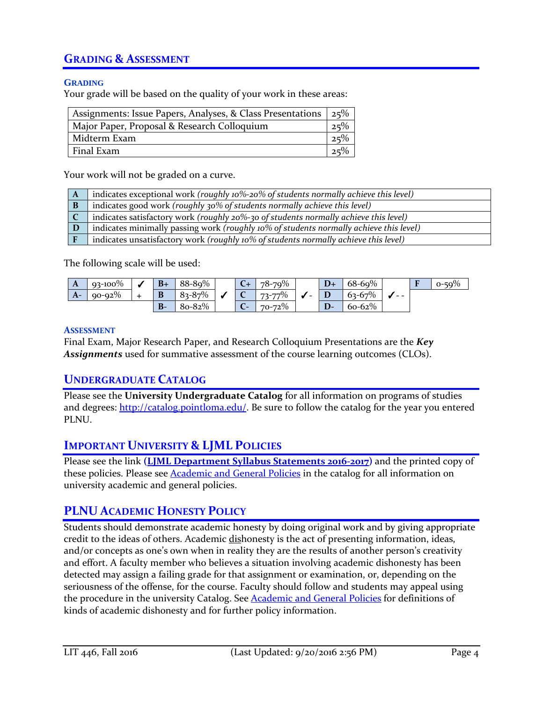# **GRADING & ASSESSMENT**

#### **GRADING**

Your grade will be based on the quality of your work in these areas:

| Assignments: Issue Papers, Analyses, & Class Presentations 25% |     |
|----------------------------------------------------------------|-----|
| Major Paper, Proposal & Research Colloquium                    | 25% |
| Midterm Exam                                                   | 25% |
| Final Exam                                                     | 25% |
|                                                                |     |

Your work will not be graded on a curve.

| $\mathbf A$ | indicates exceptional work (roughly 10%-20% of students normally achieve this level)   |
|-------------|----------------------------------------------------------------------------------------|
|             | indicates good work (roughly 30% of students normally achieve this level)              |
|             | indicates satisfactory work (roughly 20%-30 of students normally achieve this level)   |
|             | indicates minimally passing work (roughly 10% of students normally achieve this level) |
|             | indicates unsatisfactory work (roughly 10% of students normally achieve this level)    |

The following scale will be used:

| A    | $93 - 100\%$ | $B+$ | 88-89%     |        | 78-79%      | $D+$ | $68 - 69%$  |      | $50\%$ |
|------|--------------|------|------------|--------|-------------|------|-------------|------|--------|
| $A-$ | $90 - 92\%$  | D    | $83 - 87%$ |        | 73-77%      |      | $63 - 67%$  | $ -$ |        |
|      |              | B-   | 80-82%     | -<br>◡ | $70 - 72\%$ | D-   | $60 - 62\%$ |      |        |

#### **ASSESSMENT**

Final Exam, Major Research Paper, and Research Colloquium Presentations are the *Key Assignments* used for summative assessment of the course learning outcomes (CLOs).

### **UNDERGRADUATE CATALOG**

Please see the **University Undergraduate Catalog** for all information on programs of studies and degrees: [http://catalog.pointloma.edu/.](http://catalog.pointloma.edu/) Be sure to follow the catalog for the year you entered PLNU.

## **IMPORTANT UNIVERSITY & LJML POLICIES**

Please see the link **(LJML [Department](http://www.pointloma.edu/sites/default/files/filemanager/Literature_Journalism__Modern_Languages/LJML_Department_Syllabus_Statments_w_Required_PLNU_Ones_final_8-29_2016-17.pdf) Syllabus Statements 2016-2017)** and the printed copy of these policies. Please see [Academic and General Policies](http://catalog.pointloma.edu/content.php?catoid=24&navoid=1581) in the catalog for all information on university academic and general policies.

# **PLNU ACADEMIC HONESTY POLICY**

Students should demonstrate academic honesty by doing original work and by giving appropriate credit to the ideas of others. Academic dishonesty is the act of presenting information, ideas, and/or concepts as one's own when in reality they are the results of another person's creativity and effort. A faculty member who believes a situation involving academic dishonesty has been detected may assign a failing grade for that assignment or examination, or, depending on the seriousness of the offense, for the course. Faculty should follow and students may appeal using the procedure in the university Catalog. See **Academic and General Policies** for definitions of kinds of academic dishonesty and for further policy information.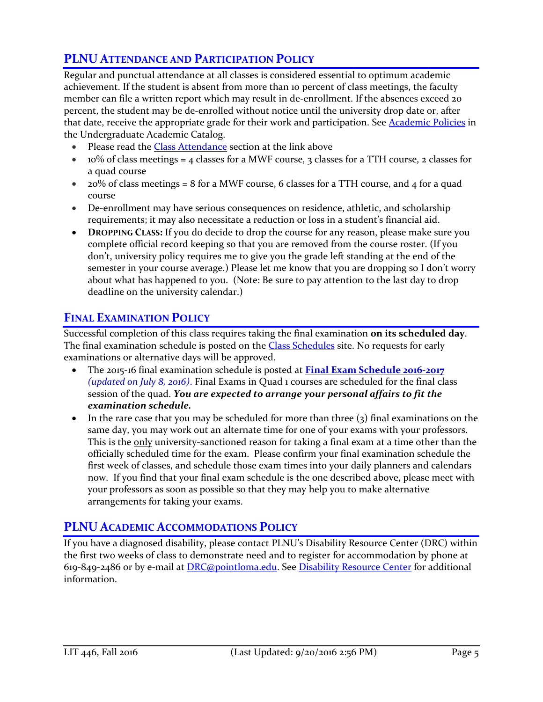# **PLNU ATTENDANCE AND PARTICIPATION POLICY**

Regular and punctual attendance at all classes is considered essential to optimum academic achievement. If the student is absent from more than 10 percent of class meetings, the faculty member can file a written report which may result in de-enrollment. If the absences exceed 20 percent, the student may be de-enrolled without notice until the university drop date or, after that date, receive the appropriate grade for their work and participation. See [Academic Policies](http://catalog.pointloma.edu/content.php?catoid=18&navoid=1278) in the Undergraduate Academic Catalog.

- Please read the [Class Attendance](http://catalog.pointloma.edu/content.php?catoid=24&navoid=1581#Class_Attendance) section at the link above
- 10% of class meetings = 4 classes for a MWF course, 3 classes for a TTH course, 2 classes for a quad course
- $\bullet$  20% of class meetings = 8 for a MWF course, 6 classes for a TTH course, and 4 for a quad course
- De-enrollment may have serious consequences on residence, athletic, and scholarship requirements; it may also necessitate a reduction or loss in a student's financial aid.
- **DROPPING CLASS:** If you do decide to drop the course for any reason, please make sure you complete official record keeping so that you are removed from the course roster. (If you don't, university policy requires me to give you the grade left standing at the end of the semester in your course average.) Please let me know that you are dropping so I don't worry about what has happened to you. (Note: Be sure to pay attention to the last day to drop deadline on the university calendar.)

# **FINAL EXAMINATION POLICY**

Successful completion of this class requires taking the final examination **on its scheduled day**. The final examination schedule is posted on the **Class Schedules** site. No requests for early examinations or alternative days will be approved.

- The 2015-16 final examination schedule is posted at **Final Exam [Schedule](http://www.pointloma.edu/sites/default/files/filemanager/Academic_Affairs/Schedules/2016-17_Final_Exam_Schedule_-_MAIN_CAMPUS.pdf) 2016-2017** *(updated on July 8, 2016)*. Final Exams in Quad 1 courses are scheduled for the final class session of the quad. *You are expected to arrange your personal affairs to fit the examination schedule.*
- In the rare case that you may be scheduled for more than three (3) final examinations on the same day, you may work out an alternate time for one of your exams with your professors. This is the only university-sanctioned reason for taking a final exam at a time other than the officially scheduled time for the exam. Please confirm your final examination schedule the first week of classes, and schedule those exam times into your daily planners and calendars now. If you find that your final exam schedule is the one described above, please meet with your professors as soon as possible so that they may help you to make alternative arrangements for taking your exams.

# **PLNU ACADEMIC ACCOMMODATIONS POLICY**

If you have a diagnosed disability, please contact PLNU's Disability Resource Center (DRC) within the first two weeks of class to demonstrate need and to register for accommodation by phone at 619-849-2486 or by e-mail at [DRC@pointloma.edu.](mailto:DRC@pointloma.edu) See [Disability Resource Center](http://www.pointloma.edu/experience/offices/administrative-offices/academic-advising-office/disability-resource-center) for additional information.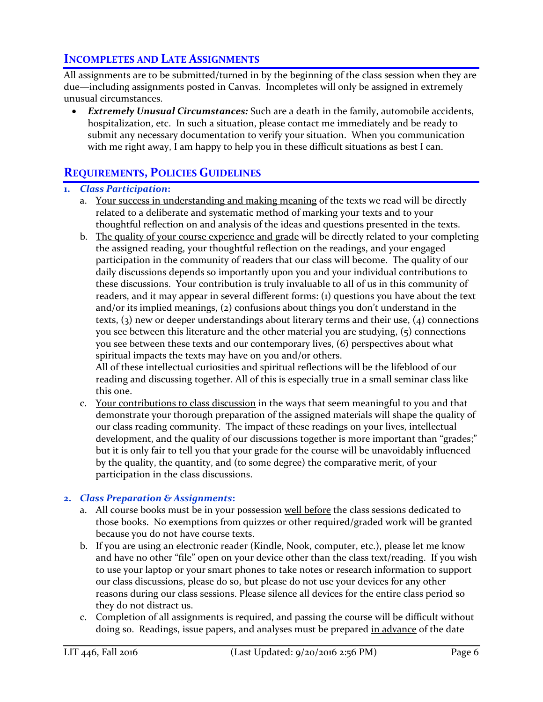# **INCOMPLETES AND LATE ASSIGNMENTS**

All assignments are to be submitted/turned in by the beginning of the class session when they are due—including assignments posted in Canvas. Incompletes will only be assigned in extremely unusual circumstances.

 *Extremely Unusual Circumstances:* Such are a death in the family, automobile accidents, hospitalization, etc. In such a situation, please contact me immediately and be ready to submit any necessary documentation to verify your situation. When you communication with me right away, I am happy to help you in these difficult situations as best I can.

## **REQUIREMENTS, POLICIES GUIDELINES**

### **1.** *Class Participation***:**

- a. Your success in understanding and making meaning of the texts we read will be directly related to a deliberate and systematic method of marking your texts and to your thoughtful reflection on and analysis of the ideas and questions presented in the texts.
- b. The quality of your course experience and grade will be directly related to your completing the assigned reading, your thoughtful reflection on the readings, and your engaged participation in the community of readers that our class will become. The quality of our daily discussions depends so importantly upon you and your individual contributions to these discussions. Your contribution is truly invaluable to all of us in this community of readers, and it may appear in several different forms: (1) questions you have about the text and/or its implied meanings, (2) confusions about things you don't understand in the texts, (3) new or deeper understandings about literary terms and their use, (4) connections you see between this literature and the other material you are studying, (5) connections you see between these texts and our contemporary lives, (6) perspectives about what spiritual impacts the texts may have on you and/or others. All of these intellectual curiosities and spiritual reflections will be the lifeblood of our

reading and discussing together. All of this is especially true in a small seminar class like this one.

c. Your contributions to class discussion in the ways that seem meaningful to you and that demonstrate your thorough preparation of the assigned materials will shape the quality of our class reading community. The impact of these readings on your lives, intellectual development, and the quality of our discussions together is more important than "grades;" but it is only fair to tell you that your grade for the course will be unavoidably influenced by the quality, the quantity, and (to some degree) the comparative merit, of your participation in the class discussions.

#### **2.** *Class Preparation & Assignments***:**

- a. All course books must be in your possession well before the class sessions dedicated to those books. No exemptions from quizzes or other required/graded work will be granted because you do not have course texts.
- b. If you are using an electronic reader (Kindle, Nook, computer, etc.), please let me know and have no other "file" open on your device other than the class text/reading. If you wish to use your laptop or your smart phones to take notes or research information to support our class discussions, please do so, but please do not use your devices for any other reasons during our class sessions. Please silence all devices for the entire class period so they do not distract us.
- c. Completion of all assignments is required, and passing the course will be difficult without doing so. Readings, issue papers, and analyses must be prepared in advance of the date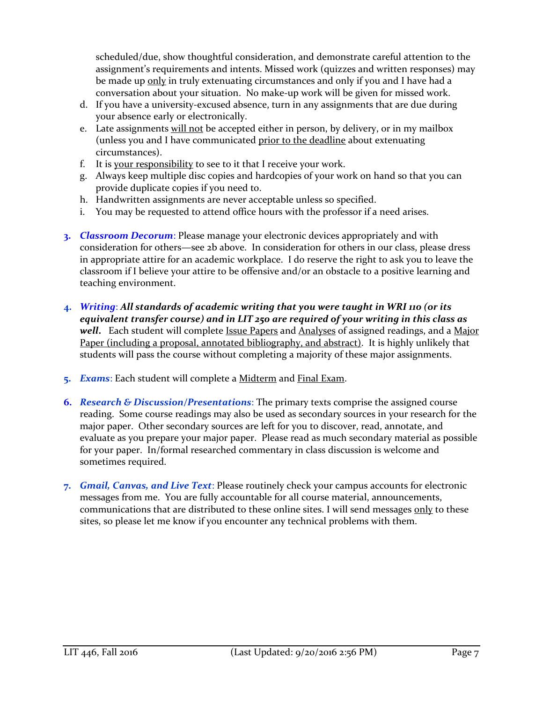scheduled/due, show thoughtful consideration, and demonstrate careful attention to the assignment's requirements and intents. Missed work (quizzes and written responses) may be made up only in truly extenuating circumstances and only if you and I have had a conversation about your situation. No make-up work will be given for missed work.

- d. If you have a university-excused absence, turn in any assignments that are due during your absence early or electronically.
- e. Late assignments will not be accepted either in person, by delivery, or in my mailbox (unless you and I have communicated prior to the deadline about extenuating circumstances).
- f. It is your responsibility to see to it that I receive your work.
- g. Always keep multiple disc copies and hardcopies of your work on hand so that you can provide duplicate copies if you need to.
- h. Handwritten assignments are never acceptable unless so specified.
- i. You may be requested to attend office hours with the professor if a need arises.
- **3.** *Classroom Decorum*: Please manage your electronic devices appropriately and with consideration for others—see 2b above. In consideration for others in our class, please dress in appropriate attire for an academic workplace. I do reserve the right to ask you to leave the classroom if I believe your attire to be offensive and/or an obstacle to a positive learning and teaching environment.
- **4.** *Writing*: *All standards of academic writing that you were taught in WRI 110 (or its equivalent transfer course) and in LIT 250 are required of your writing in this class as well***.** Each student will complete Issue Papers and Analyses of assigned readings, and a Major Paper (including a proposal, annotated bibliography, and abstract). It is highly unlikely that students will pass the course without completing a majority of these major assignments.
- **5.** *Exams*: Each student will complete a Midterm and Final Exam.
- **6.** *Research & Discussion/Presentations*: The primary texts comprise the assigned course reading. Some course readings may also be used as secondary sources in your research for the major paper. Other secondary sources are left for you to discover, read, annotate, and evaluate as you prepare your major paper. Please read as much secondary material as possible for your paper. In/formal researched commentary in class discussion is welcome and sometimes required.
- **7.** *Gmail, Canvas, and Live Text*: Please routinely check your campus accounts for electronic messages from me. You are fully accountable for all course material, announcements, communications that are distributed to these online sites. I will send messages only to these sites, so please let me know if you encounter any technical problems with them.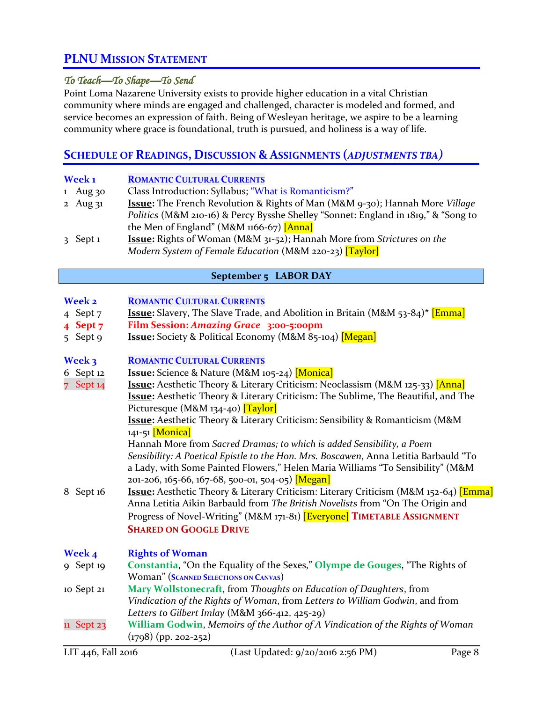# **PLNU MISSION STATEMENT**

### *To Teach—To Shape—To Send*

Point Loma Nazarene University exists to provide higher education in a vital Christian community where minds are engaged and challenged, character is modeled and formed, and service becomes an expression of faith. Being of Wesleyan heritage, we aspire to be a learning community where grace is foundational, truth is pursued, and holiness is a way of life.

## **SCHEDULE OF READINGS, DISCUSSION & ASSIGNMENTS (***ADJUSTMENTS TBA)*

| Week <sub>1</sub> | <b>ROMANTIC CULTURAL CURRENTS</b>                                                   |
|-------------------|-------------------------------------------------------------------------------------|
| 1 Aug $30$        | Class Introduction: Syllabus; "What is Romanticism?"                                |
| 2 Aug $31$        | <b>Issue:</b> The French Revolution & Rights of Man (M&M 9-30); Hannah More Village |
|                   | Politics (M&M 210-16) & Percy Bysshe Shelley "Sonnet: England in 1819," & "Song to  |
|                   | the Men of England" (M&M $1166-67$ ) [Anna]                                         |
| $3$ Sept 1        | <b>Issue:</b> Rights of Woman (M&M 31-52); Hannah More from Strictures on the       |
|                   | Modern System of Female Education (M&M 220-23) [Taylor]                             |

#### **September 5 LABOR DAY**

- 4 Sept 7 **Issue:** Slavery, The Slave Trade, and Abolition in Britain (M&M 53-84)**\*** [Emma]
- **4 Sept 7 Film Session:** *Amazing Grace* **3:00-5:00pm**
- 5 Sept 9 **Issue:** Society & Political Economy (M&M 85-104) [Megan]

#### **Week 3 ROMANTIC CULTURAL CURRENTS**

- 6 Sept 12 **Issue:** Science & Nature (M&M 105-24) [Monica]
- 7 Sept 14 **Issue:** Aesthetic Theory & Literary Criticism: Neoclassism (M&M 125-33) [Anna] **Issue:** Aesthetic Theory & Literary Criticism: The Sublime, The Beautiful, and The Picturesque (M&M 134-40) [Taylor]

**Issue:** Aesthetic Theory & Literary Criticism: Sensibility & Romanticism (M&M 141-51 [Monica]

Hannah More from *Sacred Dramas; to which is added Sensibility, a Poem Sensibility: A Poetical Epistle to the Hon. Mrs. Boscawen*, Anna Letitia Barbauld "To a Lady, with Some Painted Flowers," Helen Maria Williams "To Sensibility" (M&M 201-206, 165-66, 167-68, 500-01, 504-05) [Megan]

8 Sept 16 **Issue:** Aesthetic Theory & Literary Criticism: Literary Criticism (M&M 152-64) [Emma] Anna Letitia Aikin Barbauld from *The British Novelists* from "On The Origin and Progress of Novel-Writing" (M&M 171-81) [Everyone] **TIMETABLE ASSIGNMENT SHARED ON GOOGLE DRIVE**

#### **Week 4 Rights of Woman**

- 9 Sept 19 **Constantia**, "On the Equality of the Sexes," **Olympe de Gouges**, "The Rights of Woman" (**SCANNED SELECTIONS ON CANVAS**)
- 10 Sept 21 **Mary Wollstonecraft**, from *Thoughts on Education of Daughters*, from *Vindication of the Rights of Woman*, from *Letters to William Godwin*, and from *Letters to Gilbert Imlay* (M&M 366-412, 425-29)
- 11 Sept 23 **William Godwin**, *Memoirs of the Author of A Vindication of the Rights of Woman* (1798) (pp. 202-252)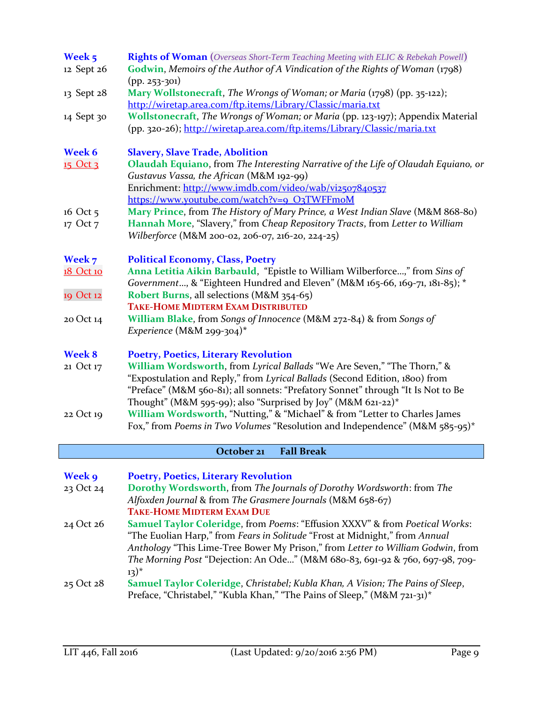| Week 5<br>12 Sept 26 | <b>Rights of Woman</b> (Overseas Short-Term Teaching Meeting with ELIC & Rebekah Powell)<br>Godwin, Memoirs of the Author of A Vindication of the Rights of Woman (1798)                                                                                                                                   |
|----------------------|------------------------------------------------------------------------------------------------------------------------------------------------------------------------------------------------------------------------------------------------------------------------------------------------------------|
| 13 Sept 28           | $(pp. 253 - 301)$<br>Mary Wollstonecraft, The Wrongs of Woman; or Maria (1798) (pp. 35-122);                                                                                                                                                                                                               |
| 14 Sept 30           | http://wiretap.area.com/ftp.items/Library/Classic/maria.txt<br>Wollstonecraft, The Wrongs of Woman; or Maria (pp. 123-197); Appendix Material<br>(pp. 320-26); http://wiretap.area.com/ftp.items/Library/Classic/maria.txt                                                                                 |
| Week 6               | <b>Slavery, Slave Trade, Abolition</b>                                                                                                                                                                                                                                                                     |
| 15 Oct 3             | Olaudah Equiano, from The Interesting Narrative of the Life of Olaudah Equiano, or                                                                                                                                                                                                                         |
|                      | Gustavus Vassa, the African (M&M 192-99)<br>Enrichment: http://www.imdb.com/video/wab/vi2507840537                                                                                                                                                                                                         |
|                      | https://www.youtube.com/watch?v=9_O3TWFFmoM                                                                                                                                                                                                                                                                |
| 16 Oct 5             | Mary Prince, from The History of Mary Prince, a West Indian Slave (M&M 868-80)                                                                                                                                                                                                                             |
| 17 Oct 7             | Hannah More, "Slavery," from Cheap Repository Tracts, from Letter to William<br>Wilberforce (M&M 200-02, 206-07, 216-20, 224-25)                                                                                                                                                                           |
| Week 7               | <b>Political Economy, Class, Poetry</b>                                                                                                                                                                                                                                                                    |
| 18 Oct 10            | Anna Letitia Aikin Barbauld, "Epistle to William Wilberforce," from Sins of                                                                                                                                                                                                                                |
|                      | Government, & "Eighteen Hundred and Eleven" (M&M 165-66, 169-71, 181-85); *                                                                                                                                                                                                                                |
| 19 Oct 12            | Robert Burns, all selections (M&M 354-65)<br><b>TAKE-HOME MIDTERM EXAM DISTRIBUTED</b>                                                                                                                                                                                                                     |
| 20 Oct 14            | William Blake, from Songs of Innocence (M&M 272-84) & from Songs of<br>Experience (M&M 299-304)*                                                                                                                                                                                                           |
| <b>Week 8</b>        | <b>Poetry, Poetics, Literary Revolution</b>                                                                                                                                                                                                                                                                |
| 21 Oct 17            | William Wordsworth, from Lyrical Ballads "We Are Seven," "The Thorn," &<br>"Expostulation and Reply," from Lyrical Ballads (Second Edition, 1800) from<br>"Preface" (M&M 560-81); all sonnets: "Prefatory Sonnet" through "It Is Not to Be<br>Thought" (M&M 595-99); also "Surprised by Joy" (M&M 621-22)* |
| 22 Oct 19            | William Wordsworth, "Nutting," & "Michael" & from "Letter to Charles James<br>Fox," from Poems in Two Volumes "Resolution and Independence" (M&M 585-95)*                                                                                                                                                  |
|                      | October 21<br><b>Fall Break</b>                                                                                                                                                                                                                                                                            |
| Week 9               | <b>Poetry, Poetics, Literary Revolution</b>                                                                                                                                                                                                                                                                |
| 23 Oct 24            | Dorothy Wordsworth, from The Journals of Dorothy Wordsworth: from The                                                                                                                                                                                                                                      |

*Alfoxden Journal* & from *The Grasmere Journals* (M&M 658-67) **TAKE-HOME MIDTERM EXAM DUE** 24 Oct 26 **Samuel Taylor Coleridge**, from *Poems*: "Effusion XXXV" & from *Poetical Works*: "The Euolian Harp," from *Fears in Solitude* "Frost at Midnight," from *Annual Anthology* "This Lime-Tree Bower My Prison," from *Letter to William Godwin*, from

*The Morning Post* "Dejection: An Ode…" (M&M 680-83, 691-92 & 760, 697-98, 709-  $13)^{*}$ 25 Oct 28 **Samuel Taylor Coleridge**, *Christabel; Kubla Khan, A Vision; The Pains of Sleep*, Preface, "Christabel," "Kubla Khan," "The Pains of Sleep," (M&M 721-31)\*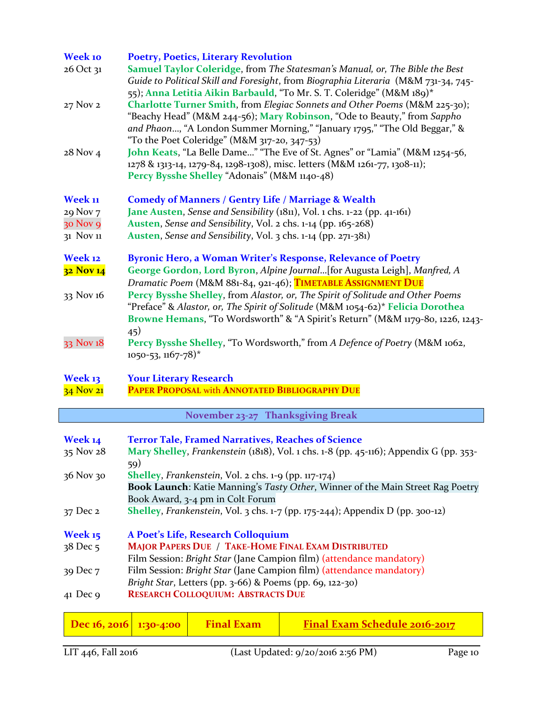| <b>Week 10</b><br>26 Oct 31 | <b>Poetry, Poetics, Literary Revolution</b><br>Samuel Taylor Coleridge, from The Statesman's Manual, or, The Bible the Best<br>Guide to Political Skill and Foresight, from Biographia Literaria (M&M 731-34, 745-                                                                                                                     |
|-----------------------------|----------------------------------------------------------------------------------------------------------------------------------------------------------------------------------------------------------------------------------------------------------------------------------------------------------------------------------------|
| 27 Nov 2                    | 55); Anna Letitia Aikin Barbauld, "To Mr. S. T. Coleridge" (M&M 189)*<br>Charlotte Turner Smith, from Elegiac Sonnets and Other Poems (M&M 225-30);<br>"Beachy Head" (M&M 244-56); Mary Robinson, "Ode to Beauty," from Sappho                                                                                                         |
| 28 Nov 4                    | and Phaon, "A London Summer Morning," "January 1795," "The Old Beggar," &<br>"To the Poet Coleridge" (M&M 317-20, 347-53)<br>John Keats, "La Belle Dame" "The Eve of St. Agnes" or "Lamia" (M&M 1254-56,<br>1278 & 1313-14, 1279-84, 1298-1308), misc. letters (M&M 1261-77, 1308-11);<br>Percy Bysshe Shelley "Adonais" (M&M 1140-48) |
| Week 11                     | <b>Comedy of Manners / Gentry Life / Marriage &amp; Wealth</b>                                                                                                                                                                                                                                                                         |
| 29 Nov 7                    | Jane Austen, Sense and Sensibility (1811), Vol. 1 chs. 1-22 (pp. 41-161)                                                                                                                                                                                                                                                               |
| 30 Nov 9                    | Austen, Sense and Sensibility, Vol. 2 chs. 1-14 (pp. 165-268)                                                                                                                                                                                                                                                                          |
| 31 Nov 11                   | Austen, Sense and Sensibility, Vol. 3 chs. 1-14 (pp. 271-381)                                                                                                                                                                                                                                                                          |
| Week 12                     | <b>Byronic Hero, a Woman Writer's Response, Relevance of Poetry</b>                                                                                                                                                                                                                                                                    |
| 32 Nov 14                   | George Gordon, Lord Byron, Alpine Journal[for Augusta Leigh], Manfred, A                                                                                                                                                                                                                                                               |
|                             | Dramatic Poem (M&M 881-84, 921-46); TIMETABLE ASSIGNMENT DUE                                                                                                                                                                                                                                                                           |
| 33 Nov 16                   | Percy Bysshe Shelley, from Alastor, or, The Spirit of Solitude and Other Poems<br>"Preface" & Alastor, or, The Spirit of Solitude (M&M 1054-62)* Felicia Dorothea<br>Browne Hemans, "To Wordsworth" & "A Spirit's Return" (M&M 1179-80, 1226, 1243-                                                                                    |
| 33 Nov 18                   | 45)<br>Percy Bysshe Shelley, "To Wordsworth," from A Defence of Poetry (M&M 1062,<br>$1050 - 53$ , $1167 - 78$ <sup>*</sup>                                                                                                                                                                                                            |
| Week 13                     | <b>Your Literary Research</b>                                                                                                                                                                                                                                                                                                          |
| 34 Nov 21                   | PAPER PROPOSAL with ANNOTATED BIBLIOGRAPHY DUE                                                                                                                                                                                                                                                                                         |
|                             | November 23-27 Thanksgiving Break                                                                                                                                                                                                                                                                                                      |
|                             |                                                                                                                                                                                                                                                                                                                                        |
| Week 14                     | <b>Terror Tale, Framed Narratives, Reaches of Science</b>                                                                                                                                                                                                                                                                              |
| 35 Nov 28                   | Mary Shelley, Frankenstein (1818), Vol. 1 chs. 1-8 (pp. 45-116); Appendix G (pp. 353-<br>59)                                                                                                                                                                                                                                           |
| 36 Nov 30                   | <b>Shelley</b> , <i>Frankenstein</i> , Vol. 2 chs. $1-9$ (pp. $117-174$ )                                                                                                                                                                                                                                                              |
|                             | <b>Book Launch:</b> Katie Manning's Tasty Other, Winner of the Main Street Rag Poetry                                                                                                                                                                                                                                                  |
|                             | Book Award, 3-4 pm in Colt Forum                                                                                                                                                                                                                                                                                                       |
| 37 Dec 2                    | <b>Shelley</b> , Frankenstein, Vol. 3 chs. $1-7$ (pp. 175-244); Appendix D (pp. 300-12)                                                                                                                                                                                                                                                |

| A Poet's Life, Research Colloquium                                   |
|----------------------------------------------------------------------|
| <b>MAJOR PAPERS DUE / TAKE-HOME FINAL EXAM DISTRIBUTED</b>           |
| Film Session: Bright Star (Jane Campion film) (attendance mandatory) |
| Film Session: Bright Star (Jane Campion film) (attendance mandatory) |
| Bright Star, Letters (pp. 3-66) & Poems (pp. 69, 122-30)             |
| <b>RESEARCH COLLOQUIUM: ABSTRACTS DUE</b>                            |
|                                                                      |

|  | <b>Dec</b> 16, 2016 1:30-4:00 Final Exam | <b>Final Exam Schedule 2016-2017</b> |
|--|------------------------------------------|--------------------------------------|
|  |                                          |                                      |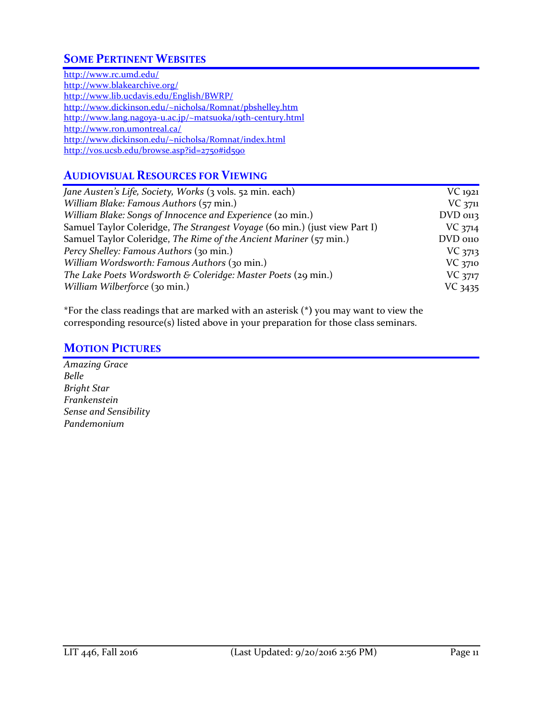# **SOME PERTINENT WEBSITES**

<http://www.rc.umd.edu/> <http://www.blakearchive.org/> <http://www.lib.ucdavis.edu/English/BWRP/> <http://www.dickinson.edu/~nicholsa/Romnat/pbshelley.htm> <http://www.lang.nagoya-u.ac.jp/~matsuoka/19th-century.html> <http://www.ron.umontreal.ca/> <http://www.dickinson.edu/~nicholsa/Romnat/index.html> <http://vos.ucsb.edu/browse.asp?id=2750#id590>

### **AUDIOVISUAL RESOURCES FOR VIEWING**

| Jane Austen's Life, Society, Works (3 vols. 52 min. each)                  | $VC$ 1921  |
|----------------------------------------------------------------------------|------------|
| William Blake: Famous Authors (57 min.)                                    | $VC$ 3711  |
| William Blake: Songs of Innocence and Experience (20 min.)                 | $DVD$ 0113 |
| Samuel Taylor Coleridge, The Strangest Voyage (60 min.) (just view Part I) | VC 3714    |
| Samuel Taylor Coleridge, The Rime of the Ancient Mariner (57 min.)         | DVD 0110   |
| Percy Shelley: Famous Authors (30 min.)                                    | $VC$ 3713  |
| William Wordsworth: Famous Authors (30 min.)                               | VC 3710    |
| The Lake Poets Wordsworth & Coleridge: Master Poets (29 min.)              | VC 3717    |
| William Wilberforce (30 min.)                                              | VC 3435    |

\*For the class readings that are marked with an asterisk (**\*)** you may want to view the corresponding resource(s) listed above in your preparation for those class seminars.

### **MOTION PICTURES**

*Amazing Grace Belle Bright Star Frankenstein Sense and Sensibility Pandemonium*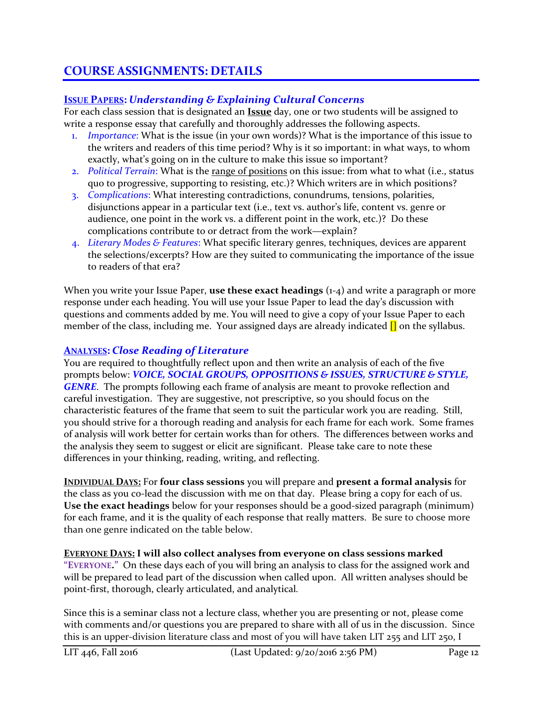# **COURSE ASSIGNMENTS: DETAILS**

### **ISSUE PAPERS:** *Understanding & Explaining Cultural Concerns*

For each class session that is designated an **Issue** day, one or two students will be assigned to write a response essay that carefully and thoroughly addresses the following aspects.

- 1. *Importance*: What is the issue (in your own words)? What is the importance of this issue to the writers and readers of this time period? Why is it so important: in what ways, to whom exactly, what's going on in the culture to make this issue so important?
- 2. *Political Terrain*: What is the range of positions on this issue: from what to what (i.e., status quo to progressive, supporting to resisting, etc.)? Which writers are in which positions?
- 3. *Complications*: What interesting contradictions, conundrums, tensions, polarities, disjunctions appear in a particular text (i.e., text vs. author's life, content vs. genre or audience, one point in the work vs. a different point in the work, etc.)? Do these complications contribute to or detract from the work—explain?
- 4. *Literary Modes & Features*: What specific literary genres, techniques, devices are apparent the selections/excerpts? How are they suited to communicating the importance of the issue to readers of that era?

When you write your Issue Paper, **use these exact headings** (1-4) and write a paragraph or more response under each heading. You will use your Issue Paper to lead the day's discussion with questions and comments added by me. You will need to give a copy of your Issue Paper to each member of the class, including me. Your assigned days are already indicated  $\left[\right]$  on the syllabus.

### **ANALYSES:** *Close Reading of Literature*

You are required to thoughtfully reflect upon and then write an analysis of each of the five prompts below: *VOICE, SOCIAL GROUPS, OPPOSITIONS & ISSUES, STRUCTURE & STYLE, GENRE*. The prompts following each frame of analysis are meant to provoke reflection and careful investigation. They are suggestive, not prescriptive, so you should focus on the characteristic features of the frame that seem to suit the particular work you are reading. Still, you should strive for a thorough reading and analysis for each frame for each work. Some frames of analysis will work better for certain works than for others. The differences between works and the analysis they seem to suggest or elicit are significant. Please take care to note these differences in your thinking, reading, writing, and reflecting.

**INDIVIDUAL DAYS:** For **four class sessions** you will prepare and **present a formal analysis** for the class as you co-lead the discussion with me on that day. Please bring a copy for each of us. **Use the exact headings** below for your responses should be a good-sized paragraph (minimum) for each frame, and it is the quality of each response that really matters. Be sure to choose more than one genre indicated on the table below.

**EVERYONE DAYS: I will also collect analyses from everyone on class sessions marked "EVERYONE."** On these days each of you will bring an analysis to class for the assigned work and will be prepared to lead part of the discussion when called upon. All written analyses should be point-first, thorough, clearly articulated, and analytical*.*

Since this is a seminar class not a lecture class, whether you are presenting or not, please come with comments and/or questions you are prepared to share with all of us in the discussion. Since this is an upper-division literature class and most of you will have taken LIT 255 and LIT 250, I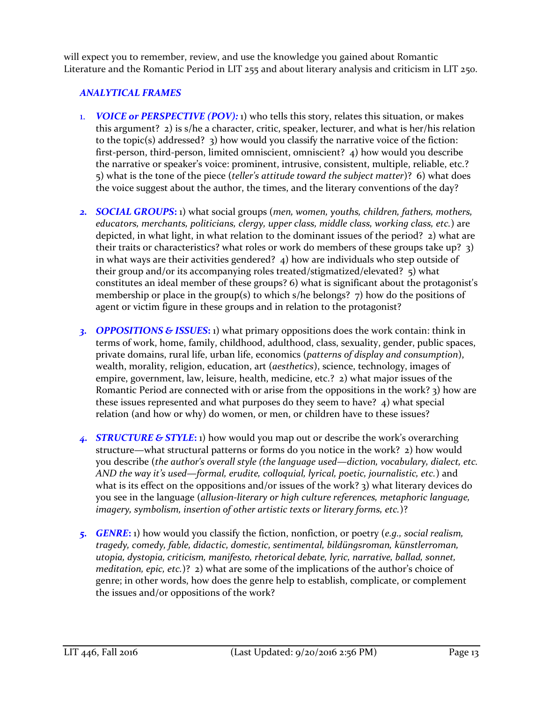will expect you to remember, review, and use the knowledge you gained about Romantic Literature and the Romantic Period in LIT 255 and about literary analysis and criticism in LIT 250.

### *ANALYTICAL FRAMES*

- 1. *VOICE or PERSPECTIVE (POV):* 1) who tells this story, relates this situation, or makes this argument? 2) is s/he a character, critic, speaker, lecturer, and what is her/his relation to the topic(s) addressed? 3) how would you classify the narrative voice of the fiction: first-person, third-person, limited omniscient, omniscient? 4) how would you describe the narrative or speaker's voice: prominent, intrusive, consistent, multiple, reliable, etc.? 5) what is the tone of the piece (*teller's attitude toward the subject matter*)? 6) what does the voice suggest about the author, the times, and the literary conventions of the day?
- *2. SOCIAL GROUPS***:** 1) what social groups (*men, women, youths, children, fathers, mothers, educators, merchants, politicians, clergy, upper class, middle class, working class, etc.*) are depicted, in what light, in what relation to the dominant issues of the period? 2) what are their traits or characteristics? what roles or work do members of these groups take up? 3) in what ways are their activities gendered? 4) how are individuals who step outside of their group and/or its accompanying roles treated/stigmatized/elevated? 5) what constitutes an ideal member of these groups? 6) what is significant about the protagonist's membership or place in the group(s) to which s/he belongs?  $\overline{7}$ ) how do the positions of agent or victim figure in these groups and in relation to the protagonist?
- *3. OPPOSITIONS & ISSUES***:** 1) what primary oppositions does the work contain: think in terms of work, home, family, childhood, adulthood, class, sexuality, gender, public spaces, private domains, rural life, urban life, economics (*patterns of display and consumption*), wealth, morality, religion, education, art (*aesthetics*), science, technology, images of empire, government, law, leisure, health, medicine, etc.? 2) what major issues of the Romantic Period are connected with or arise from the oppositions in the work? 3) how are these issues represented and what purposes do they seem to have? 4) what special relation (and how or why) do women, or men, or children have to these issues?
- *4. STRUCTURE & STYLE***:** 1) how would you map out or describe the work's overarching structure—what structural patterns or forms do you notice in the work? 2) how would you describe (*the author's overall style (the language used—diction, vocabulary, dialect, etc. AND the way it's used—formal, erudite, colloquial, lyrical, poetic, journalistic, etc.*) and what is its effect on the oppositions and/or issues of the work? 3) what literary devices do you see in the language (*allusion-literary or high culture references, metaphoric language, imagery, symbolism, insertion of other artistic texts or literary forms, etc.*)?
- *5. GENRE***:** 1) how would you classify the fiction, nonfiction, or poetry (*e.g., social realism, tragedy, comedy, fable, didactic, domestic, sentimental, bildüngsroman, künstlerroman, utopia, dystopia, criticism, manifesto, rhetorical debate, lyric, narrative, ballad, sonnet, meditation, epic, etc.*)? 2) what are some of the implications of the author's choice of genre; in other words, how does the genre help to establish, complicate, or complement the issues and/or oppositions of the work?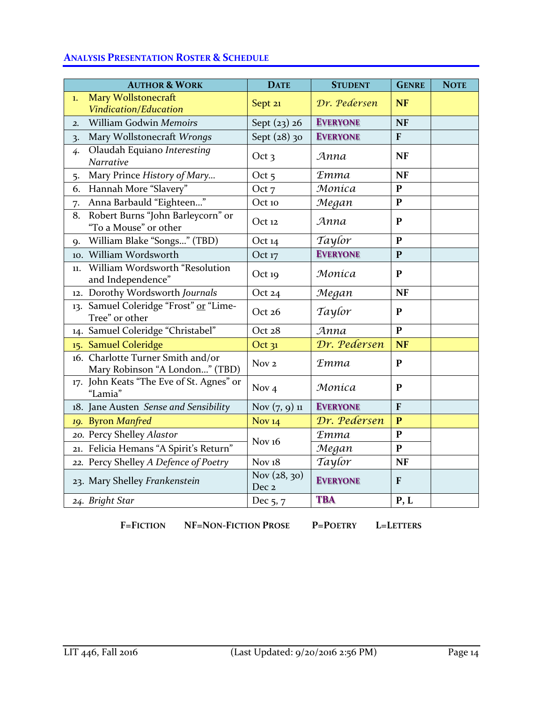### **ANALYSIS PRESENTATION ROSTER & SCHEDULE**

|                  | <b>AUTHOR &amp; WORK</b>                                            | <b>DATE</b>           | <b>STUDENT</b>  | <b>GENRE</b>   | <b>NOTE</b> |
|------------------|---------------------------------------------------------------------|-----------------------|-----------------|----------------|-------------|
| 1.               | Mary Wollstonecraft<br>Vindication/Education                        | Sept 21               | Dr. Pedersen    | <b>NF</b>      |             |
| $\overline{2}$ . | William Godwin Memoirs                                              | Sept $(23)$ 26        | <b>EVERYONE</b> | <b>NF</b>      |             |
| $\overline{3}$   | Mary Wollstonecraft Wrongs                                          | Sept (28) 30          | <b>EVERYONE</b> | $\overline{F}$ |             |
| 4.               | Olaudah Equiano Interesting<br>Narrative                            | Oct <sub>3</sub>      | Anna            | <b>NF</b>      |             |
| 5.               | Mary Prince History of Mary                                         | Oct $5$               | <b>Emma</b>     | <b>NF</b>      |             |
| 6.               | Hannah More "Slavery"                                               | Oct 7                 | Moníca          | $\mathbf{P}$   |             |
| 7.               | Anna Barbauld "Eighteen"                                            | Oct 10                | Megan           | $\mathbf{P}$   |             |
| 8.               | Robert Burns "John Barleycorn" or<br>"To a Mouse" or other          | Oct 12                | Anna            | ${\bf P}$      |             |
| <b>9.</b>        | William Blake "Songs" (TBD)                                         | Oct 14                | Taylor          | $\mathbf{P}$   |             |
|                  | 10. William Wordsworth                                              | Oct 17                | <b>EVERYONE</b> | $\mathbf{P}$   |             |
| 11.              | William Wordsworth "Resolution<br>and Independence"                 | Oct 19                | Moníca          | ${\bf P}$      |             |
|                  | 12. Dorothy Wordsworth Journals                                     | Oct 24                | Megan           | <b>NF</b>      |             |
|                  | 13. Samuel Coleridge "Frost" or "Lime-<br>Tree" or other            | Oct 26                | Taylor          | $\mathbf{P}$   |             |
|                  | 14. Samuel Coleridge "Christabel"                                   | Oct 28                | Anna            | $\mathbf{P}$   |             |
|                  | 15. Samuel Coleridge                                                | Oct 31                | Dr. Pedersen    | <b>NF</b>      |             |
|                  | 16. Charlotte Turner Smith and/or<br>Mary Robinson "A London" (TBD) | Nov <sub>2</sub>      | <b>Emma</b>     | $\mathbf{P}$   |             |
|                  | 17. John Keats "The Eve of St. Agnes" or<br>"Lamia"                 | Nov $4$               | Monica          | $\mathbf{P}$   |             |
|                  | 18. Jane Austen Sense and Sensibility                               | Nov $(7, 9)$ 11       | <b>EVERYONE</b> | $\overline{F}$ |             |
|                  | 19. Byron Manfred                                                   | <b>Nov 14</b>         | Dr. Pedersen    | $\mathbf{P}$   |             |
|                  | 20. Percy Shelley Alastor                                           | Nov $16$              | <b>Emma</b>     | $\mathbf{P}$   |             |
|                  | 21. Felicia Hemans "A Spirit's Return"                              |                       | Megan           | $\mathbf{P}$   |             |
|                  | 22. Percy Shelley A Defence of Poetry                               | Nov $18$              | Taylor          | <b>NF</b>      |             |
|                  | 23. Mary Shelley Frankenstein                                       | Nov (28, 30)<br>Dec 2 | <b>EVERYONE</b> | $\mathbf{F}$   |             |
|                  | 24. Bright Star                                                     | Dec 5, 7              | <b>TBA</b>      | P, L           |             |

**F=FICTION NF=NON-FICTION PROSE P=POETRY L=LETTERS**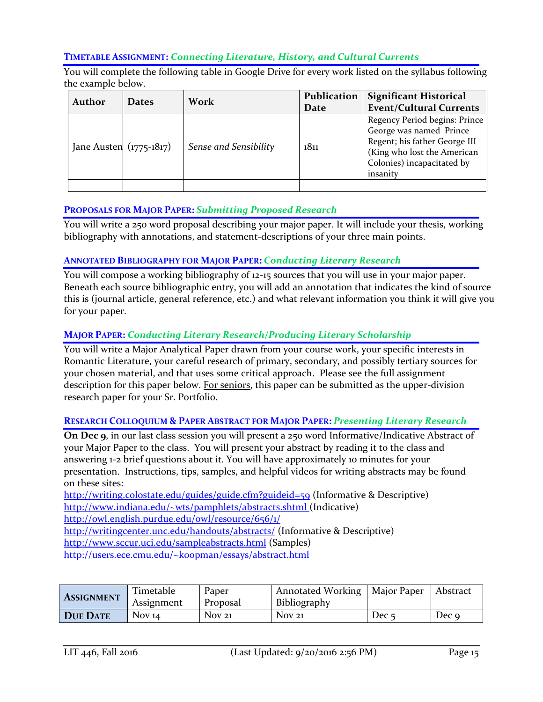#### **TIMETABLE ASSIGNMENT:** *Connecting Literature, History, and Cultural Currents*

You will complete the following table in Google Drive for every work listed on the syllabus following the example below.

| Author | <b>Dates</b>              | Work                  | Publication<br>Date | <b>Significant Historical</b><br><b>Event/Cultural Currents</b>                                                                                                    |  |
|--------|---------------------------|-----------------------|---------------------|--------------------------------------------------------------------------------------------------------------------------------------------------------------------|--|
|        | Jane Austen $(1775-1817)$ | Sense and Sensibility | 1811                | Regency Period begins: Prince<br>George was named Prince<br>Regent; his father George III<br>(King who lost the American<br>Colonies) incapacitated by<br>insanity |  |
|        |                           |                       |                     |                                                                                                                                                                    |  |

#### **PROPOSALS FOR MAJOR PAPER:** *Submitting Proposed Research*

You will write a 250 word proposal describing your major paper. It will include your thesis, working bibliography with annotations, and statement-descriptions of your three main points.

#### **ANNOTATED BIBLIOGRAPHY FOR MAJOR PAPER:** *Conducting Literary Research*

You will compose a working bibliography of 12-15 sources that you will use in your major paper. Beneath each source bibliographic entry, you will add an annotation that indicates the kind of source this is (journal article, general reference, etc.) and what relevant information you think it will give you for your paper.

#### **MAJOR PAPER:** *Conducting Literary Research/Producing Literary Scholarship*

You will write a Major Analytical Paper drawn from your course work, your specific interests in Romantic Literature, your careful research of primary, secondary, and possibly tertiary sources for your chosen material, and that uses some critical approach. Please see the full assignment description for this paper below. For seniors, this paper can be submitted as the upper-division research paper for your Sr. Portfolio.

#### **RESEARCH COLLOQUIUM & PAPER ABSTRACT FOR MAJOR PAPER:** *Presenting Literary Research*

**On Dec 9**, in our last class session you will present a 250 word Informative/Indicative Abstract of your Major Paper to the class. You will present your abstract by reading it to the class and answering 1-2 brief questions about it. You will have approximately 10 minutes for your presentation. Instructions, tips, samples, and helpful videos for writing abstracts may be found on these sites:

<http://writing.colostate.edu/guides/guide.cfm?guideid=59> (Informative & Descriptive) <http://www.indiana.edu/~wts/pamphlets/abstracts.shtml> (Indicative)

<http://owl.english.purdue.edu/owl/resource/656/1/>

<http://writingcenter.unc.edu/handouts/abstracts/> (Informative & Descriptive)

<http://www.sccur.uci.edu/sampleabstracts.html> (Samples)

<http://users.ece.cmu.edu/~koopman/essays/abstract.html>

| <b>ASSIGNMENT</b> | Timetable<br>Assignment | Paper<br>Proposal | Annotated Working   Major Paper<br>Bibliography |                  | Abstract |
|-------------------|-------------------------|-------------------|-------------------------------------------------|------------------|----------|
| DUE DATE          | Nov $14$                | Nov <sub>21</sub> | Nov <sub>21</sub>                               | Dec <sub>5</sub> | Dec 9    |